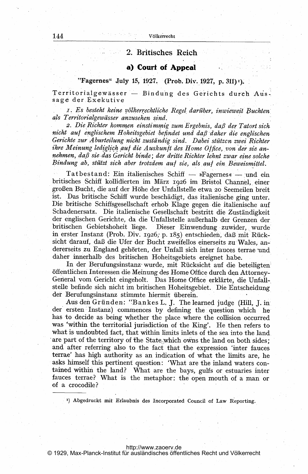### 2. Britisches Reich

# a) Court of Appeal

"Fagernes" July 15, 1927. (Prob. Div. 1927, p. 311)<sup>r</sup>).

Territorialgewässer — Bindung des Gerichts durch Aus. sage der Exekutive

1. Es besteht keine völkerrechtliche Regel darüber, inwieweit Buchten als Territorialgewässer anzusehen sind.

2. Die Richter kommen einstimmig zum Ergebnis, daß der Tatort sich nicht auf englischem Hoheitsgebiet befindet und daß daher die englischen. Gerichte zur Aburteilung nicht zuständig sind. Dabei stützen zwei Richter ihre Meinung lediglich auf die Auskunft des Home Office, von der sie an $nehmen, da\beta$  sie das Gericht binde; der dritte Richter lehnt zwar eine solche Bindung ab, stützt sich aber trotzdem auf sie, als, auf ein Beweismittel.

Tatbestand: Ein italienisches Schiff - »Fagernes« - und ein britisches Schiff kollidierten im März 1926 im Bristol Channel, einer großen Bucht, die auf der Höhe der Unfallstelle etwa 20 Seemeilen breit. ist. Das britische Schiff wurde beschädigt, das italienische ging unter. Die britische Schiffsgesellschaft erhob Klage gegen die italienische auf Schadenersatz. Die italienische Gesellschaft bestritt die Zuständigkeit der englischen Gerichte, da die'Unfallstelle außerhalb der Grenzen der britischen Gebietshoheit liege. Dieser Einwendung zuwider, wurde in erster. Instanz (Prob. Div. 1926; p. IS5) entschieden', daß mit Rücksicht darauf, daß die Ufer der Bucht zweifellos einerseits zu Wales, andererseits zu England gehörten, der Unfall sich inter fauces terrae und daher innerhalb des britischen Hoheitsgebiets ereignet habe.

In der Berufungsinstanz wurde, mit Rücksicht auf die beteiligten öffentlichen Interessen die Meinung des Home Office durch den Attorney-General vom Gericht eingeholt. Das Home Office erklärte, die. Unfallstelle befinde sich nicht im britischen Hoheitsgebiet. Die Entscheidung der Berufungsinstanz stimmte hiermit überein.

Aus den Gründen: "Bankes L. J. The learned judge (Hill, J. in, der ersten'Instanz) commences by defining the question which he has to decide as being whether the place where the collision occurred was 'within the territorial jurisdiction of the King'. He then refers to, what is undoubted fact, that within limits inlets of the sea into the land are part of the territory of the State which owns the land on both sides; and after referring also to the fact that the expression 'inter fauces. terrae' has high authority as an indication of what the limits are, he asks himself this pertinent question: 'What are the inland waters contained within the land? What are the bays, gulfs or estuaries inter fauces terrae? What is the metaphor: the open mouth of a man or of a crocodile?

1) Abgedruckt mit Erlaubnis des Incorporated Council of Law Reporting.

#### <http://www.zaoerv.de>

© 1929, Max-Planck-Institut für ausländisches öffentliches Recht und Völkerrecht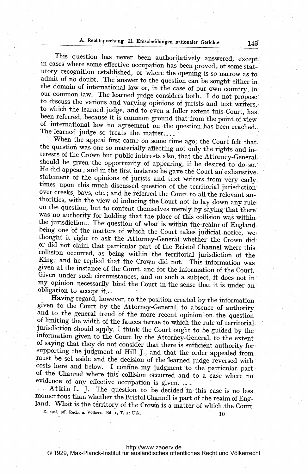This question has never been authoritatively answered, except in cases where some effective occupation has been proved, or some statutory recognition established, or where the opening is so narrow as to admit of no doubt. The answer to the question can be sought either inthe domain of international law or, in the case of our own country, in our common law. The learned judge considers both. I do not propose. to discuss the various and varying opinions of jurists and text writers, to which the learned judge, and to even a fuller extent this Court, has been referred, because it is common ground that from the point of view of international law no agreement on the question has been reached., The learned judge so treats the matter.

When the appeal first came on some time ago, the Court felt that. the question was one so materially affecting not only the rights and interests of the Crown but public interests also, that the Attorney-General, should be given the opportunity of appearing, if he desired to do so. He did appear; and in the first instance he gave the Court an exhaustive statement of the opinions of 'jurists. and text writers from very early. times upon this much discussed question of the territorial jurisdictionover creeks, bays, etc.; and he referred the Court to all the relevant authorities, with the view of inducing the Court not to lay down any rule on the question, but to content themselves merely by saying that therewas no authority for holding that the place of this collision was within. the jurisdiction. The question of what is within the realm of England. being one of the matters of which the Court takes judicial notice, we thought it right to ask the Attorney-General whether the Crown did: or did not claim that particular part of the Bristol Channel where this. collision occurred, as being within the territorial jurisdiction of the King; and he replied that the Crown did not. This information was given at the instance of the Court, and for the information of the Court. Given under such circumstances, and on'such a subject, it does not in my opinion necessarily bind the Court in the sense that it is under anobligation to accept it..

Having regard, however, to the position created by- the information given to the Court by the Attorney-General, to absence of authority and to the general trend of the more recent opinion on the question of limiting the width of the fauces terrae to which the rule of territorial. jurisdiction should apply, I think the Court ought to be guided by the information given to the Court by the Attorney-General, to the extent of saying that they do not consider that there is sufficient authority for: supporting the judgment of Hill J., and that the order appealed from must be set aside and the decision of the learned judge reversed with costs here and below. <sup>I</sup> confine, my judgment to the particular part of the Channel where this collision occurred and to a case where no, evidence of any effective occupation is given....

Atkin L. J. The question to be decided in this case is no less momentous than whether the Bristol Channel is part of the realm of England. What is the territory of the Crown is a matter of which the Court

Z. ausl. aff. Recht u. V61kerr. Bd. x, T. 2: Urk. 10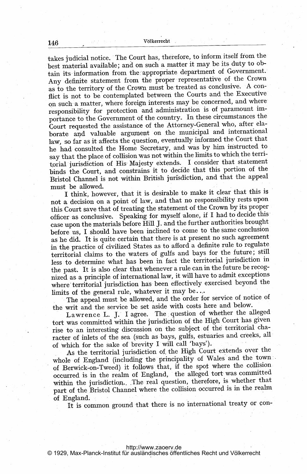## 1,46 V61kerrecht

takes judicial notice. The Court has, therefore, to inform itself from the best material available; and on such <sup>a</sup> matter it may be its duty to obtain its information from the appropriate department of Government. Any definite statement from the proper representative of the Crown as to the territory of the Crown must be treated as conclusive. A conflict is not to be contemplated between the Courts and the Executive on such-a matter, where foreign interests may be concerned, and where responsibility for protection and administration is of paramount importance to the Government of the country.. In these circumstances the Court requested the assistance of the Attorney-General who, after elaborate and valuable argument on the municipal and international law, so far as it affects the question, eventually informed the Court that he had consulted the Home Secretary, and was by him instructed to say that the place of collision was not withih the limits to which the territorial jurisdiction of His-Majesty extends. I consider that statement binds the Court, and constrains it to decide that this portion of the Bristol Channel is not within British jurisdiction, and that the appeal must be allowed.

<sup>I</sup> think, however, that it is desirable to make it clear that this is not a decision on <sup>a</sup> point of law, and that no responsibility rests upon this Court save that of treating the statement of the Crown by its proper officer as conclusive. Speaking for myself alone, if I had to decide this case upon the materials before Hill J. and the further authorities brought before us, I should have been inclined to come to the same conclusion as he did. It is quite certain that there is at present no such agreement in the practice of civilized States as to afford a definite rule to regulate territorial claims to the waters of gulfs and bays for the future; still less to determine what has been in fact the territorial jurisdiction in the past. It is also clear that whenever a rule can in the future be recognized as a principle of international law, it will have to admit exceptions where territorial jurisdiction has been effectively exercised beyond the limits of the general rule, whatever it may be.

The appeal must be allowed, and the order for service of notice of the writ and the service be set aside with costs here and below..

Lawrence L. J. I agree. The question of whether the alleged tort was committed within the jurisdiction of the High Court has given rise to an interesting discussion on the subject of the territorial character of inlets of the sea (such as bays, gulfs, estuaries and creeks, all of which for the sake of brevity <sup>I</sup> will call 'bays').

As the territorial jurisdiction of the High Court extends over the whole of England (including the principality of Wales and the town. of Berwick-on-Tweed) it follows that, if the spot where the collision occurred is in the realm of England, the alleged tort was committed within the jurisdiction. The real question, therefore, is whether that part of the Bristol Channel where the collision occurred is in the realm of England

It is common ground that there is no international treaty or con-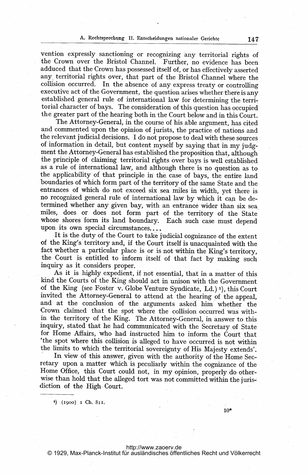vention expressly sanctioning or recognizing any territorial rights of the Crown over the Bristol Channel. Further, no evidence has been adduced that the Crown has possessed itself of, or has effectively. asserted any, territorial rights over, that part of the Bristol Channel where the collision occurred. In the absence of any express treaty or controlling executive act of the Government, the question arises whether there is any established general rule of international law for determining the territorial character of'bays. The consideration of this question has occupied the greater part of the hearing both in the Court below and in this Court.

The Attorney-General, in the course of his able argument, has cited and commented upon the opinion of jurists, the practice of nations and the relevant judicial decisions. I do not propose to deal with these sources of information in detail, but content myself by saying that in my judg-<br>ment the Attorney-General has established the proposition that, although the principle of claiming territorial rights over bays is well established as a rule of international law, and although there is no question as to the applicability of that principle in the case of bays, the entire land boundaries of which form part of the territory of the same State and the entrances of which do not exceed six sea miles in width, yet there is no recognized general rule of international law by which it can be determined whether any given bay, with an entrance wider than six seamiles, does or does not form part of the territory of the State whose shores form its land boundary. Each such case must depend upon its own special circumstances....

It is the duty of the Court to take judicial cognizance of the extent of the King's territory and, if the Court itself is unacquainted with the fact whether <sup>a</sup> particular place is or is not within the King's territory, the Court is entitled to inform itself of that fact by making such inquiry as it considers proper.

As it is highly expedient, if not essential, that in <sup>a</sup> matter of this kind the Courts of the King should act in unison with the Government of the King (see Foster v. Globe Venture Syndicate, Ld.) z), this Court. invited the Attorney-General to attend at the hearing of the appeal, and at the conclusion of the arguments asked him whether the Crown claimed that the spot where the collision. occurred was within the territory of the King. The Attorney-General, in answer to this inquiry, stated that he had communicated with the Secretary of State for Home Affairs, who had instructed him to inform the Court that 'the spot where. this collision is alleged to have occurred is not within the limits to which the territorial sovereignty of His Majesty extends'.

In view of this answer, given with the authority of the Home Secretary upon a matter which is peculiarly within the cognizance of the Home Office, this Court could not, in my opinion, properly.do otherwise than hold that the alleged tort was not committed within the jurisdiction of the High. Court.

(igoo) <sup>i</sup> Ch. 811.

10\*

<http://www.zaoerv.de> © 1929, Max-Planck-Institut für ausländisches öffentliches Recht und Völkerrecht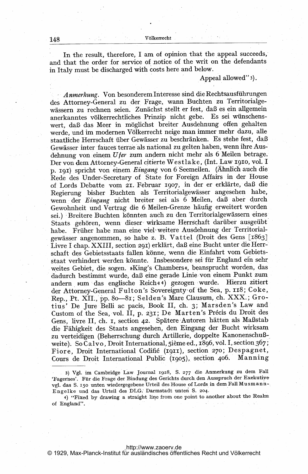In the result, therefore, <sup>I</sup> am of opinion that the appeal succeeds, and.that the order for service of notice of the writ on the defendants in Italy must be discharged with costs here and below.

### Appeal allowed" 3).

Anmerkung. Von besonderemInteresse sind dieRechtsausführungen des Attorney-General zu der' Frage, wann Buchten zu Territorialgewässern zu rechnen seien. Zunächst stellt er fest, daß es ein allgemein anerkanntes völkerrechtliches Prinzip nicht gebe. Es sei wünschenswert, da3 das Meer in möglichst breiter Ausdehnung offen gehalten werde, und im modernen Völkerrecht neige man immer mehr dazu, alle staatliche Herrschaft über Gewässer zu beschränken. Es stehe fest, daß Gewässer inter fauces terrae als national zu gelten haben, wenn ihre Ausdehnung von einem Ufer zum andern nicht mehr als <sup>6</sup> Meilen betrage. Der von dem Attorney-General citierte Westlake, (Int. Law 1910, vol. I p. 191) spricht von einem Eingang von 6 Seemeilen. (Ähnlich auch die Rede des Under-Secretary of State for Foreign Affairs in der House of Lords Debatte vom 21. Februar 1907, in der er erklärte, daß die Regierung bisher Buchten als Territorialgewässer angesehen habe, wenn der Eingang nicht breiter sei als <sup>6</sup> Meilen, daß aber durch Gewohnheit und Vertrag die <sup>6</sup> Meilen-Grenze häufig erweitert worden sei.) Breitere Buchten könnten auch zu den Territorialgewässern eines Staats. gehören, wenn dieser. wirksame Herrschaft darüber ausgeübt Gewohnheit und Vertrag die 6 Meilen-Grenze häufig erweitert worden<br>sei.) Breitere Buchten könnten auch zu den Territorialgewässern eines<br>Staats gehören, wenn dieser wirksame Herrschaft darüber ausgeübt<br>habe. Früher habe ma gewässer angenommen, so habe z. B. Vattel (Droit des Gens [1863] Livre <sup>I</sup> chap. XXIII, section 291) erklärt, daß eine Bucht unter die Herrschaft des Gebietsstaats fallen könne, wenn die Einfahrt vom Gebiets-. staat verhindert werden könnte. Insbesondere sei für England ein sehr weites Gebiet, die sogen. »King's Chambers«, beansprucht worden, das dadurch bestimmt wurde, daß eine gerade Linie von einem Punkt zum andern »um das englische Reich«4) gezogen wurde. Hierzu zitiert der Attorney-General Fulton's Sovereignty of the Sea, p. 118; Coke, Rep., Pt. XII., pp. 80-81; Selden's Mare Clausum, ch. XXX.; Grotius' De Jure Belli ac pacis, Book II, ch. 3; Marsden's Law and Custom of the Sea, vol. II, p. 231; De Marten's Précis du Droit des Gens, livre II, ch. i, section 42. Spätere hätten als Maßstab die Fähigkeit des Staats angesehen, den Eingang der Bucht wirksam zu verteidigen (Beherrschung durch Artillerie., doppelte Kanonenschußweite). So Calvo, Droit International, 5ième ed., 1896, vol. I, section 367; Fiore, Droit International Codifié (1911), section 270; Despagnet, Cours de Droit International Public (1005), section 406. Manning Cours de Droit International Public  $(1905)$ , section 406.

3) Vgl. im Cambridge Law Journal 1928, S. 277 die Anmerkung zu dem Fall 'Fagernes'. Für die Frage der Bindung des Gerichts durch den Ausspruch der Exekutive vgl. das S. 150 unten wiedergegebene Urteil des House of Lords in dem Fall Musmann-Engelke und das Urteil des DLG.' Darmstadt unten S. 204-

4) "Fixed by drawing a straight line from one point to another about the Realm of England".

#### <http://www.zaoerv.de>

© 1929, Max-Planck-Institut für ausländisches öffentliches Recht und Völkerrecht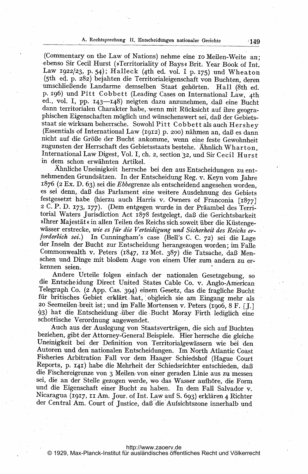(Commentary on the Law of Nations) nehme eine io Meilen-Weite an; ebenso Sir Cecil Hurst (»Territoriality of Bays« Brit. Year Book of Int. Law 1922/23, p. 54); Halleck (4th ed. vol. I p. 175) und Wheaton (5th ed. p. 282) bejahten die Territorialeigenschaft von Buchten, deren umschließende Landarme demselben Staat gehörten. Hall (8th ed. p. 196) und Pitt Cobbett (Leading Cases on International Law, 4th ed., vol. I, pp. 143-148) neigten dazu anzunehmen, daß eine Bucht dann territorialen Charakter habe, wenn mit Rücksicht auf ihre geographischen Eigenschaften möglich und wünschenswert sei, daß der Gebiets staat sie wirksam beherrsche. Sowohl Pitt Cobbett als auch Hershey (Essentials of International Law (1912) p. 200) nähmen an, daß es dann nicht auf die Größe der Bucht' ankomme, wenn eine feste Gewohnheit zugunsten der Herrschaft des Gebietsstaats bestehe. Ähnlich Wharton, International Law Digest, Vol. I, ch. 2, section 32, und Sir Cecil Hurst in dem schon erwähnten Artikel.

Ähnliche Uneinigkeit herrsche bei den aus Entscheidungen zu entnehmenden Grundsätzen. In der Entscheidung Reg. v. Keyn vom Jahre 1876 (2 Ex. D. 63) sei die Ebbegrenze als entscheidend angesehen worden, es sei denn, daß das Parlament eine weitere Ausdehnung des Gebiets festgesetzt habe (hierzu auch Harris v. Owners of Franconia [18771 <sup>2</sup> C. P. D. 173, 177). (Dem entgegen wurde in der Präambel des Territorial Waters Jurisdiction Act 1878 festgelegt, daß die Gerichtsbarkeit »Ihrer Majestät« in allen Teilen des Reichs sich soweit über die Küstengewässer erstrecke, wie es für die Verteidigung und Sicherheit des Reichs erforderlich sei.) In Cunningham's case (Bell's C. C. 72) sei die Lage der Inseln der Bucht zur Entscheidung herangezogen worden; im Falle Commonwealth v. Peters (1847, 12 Met. 387) die Tatsache, daß Menschen und Dinge mit bloßem Auge von einem Ufer zum andern zu erkennen seien.

Andere Urteile folgen einfach der nationalen Gesetzgebung, so die Entscheidung Direct United States Cable Co. v. Anglo-American Telegraph'Co. (2 App. Cas.'394) einem Gesetz, das die fragliche Bucht für britisches Gebiet erklärt hat, obgleich sie am Eingang mehr als 20 Seemeilen-breit ist; und im Falle Mortensen v. Peters (1906, 8 F. [J.] 93) hat die Entscheidung über die Bucht Moray Firth lediglich eine schottische Verordnung angewendet.,

Auch aus der Auslegung von Staatsverträgen, die sich auf Buchten beziehen, gibt der Attorney-General Beispiele. Hier herrsche die gleiche Uneinigkeit bei der Definition von Territorialgewässern wie. bei den Autoren und den'nationalen Entscheidungen. Im North Atlantic Coast Fisheries Arbitration Fall vor dem Haager Schiedshof (Hague Court Reports, p. 141) habe die Mehrheit der Schiedsrichter entschieden, daß die Fischereigrenze von 3 Meilen von einer geraden Linie aus zu messen sei, die an der Stelle gezogen werde, wo das Wasser aufhöre, die Form<br>und die Eigenschaft einer Bucht zu haben. In dem Fall Salvador v.<br>Nicaragua (1917, 11 Am. Jour. of Int. Law auf S. 693) erklären 4 Richter<br>der Central A und die Eigenschaft einer Bucht zu haben. In dem Fall Salvador v. Nicaragua (1917, 11 Am. Jour. of Int. Law auf S. 693) erklären 4 Richter<br>der Central Am. Court of Justice, daß die Aufsichtszone innerhalb und

<http://www.zaoerv.de> © 1929, Max-Planck-Institut für ausländisches öffentliches Recht und Völkerrecht